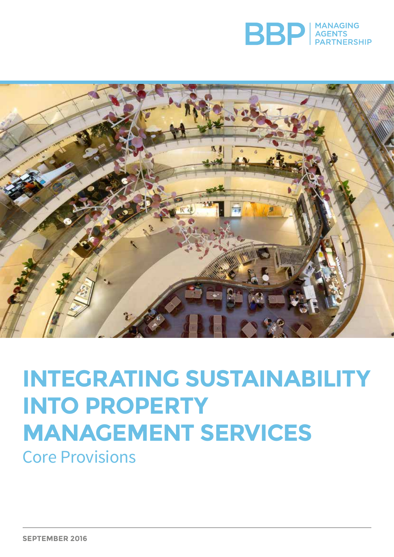



# **INTEGRATING SUSTAINABILITY INTO PROPERTY MANAGEMENT SERVICES**

Core Provisions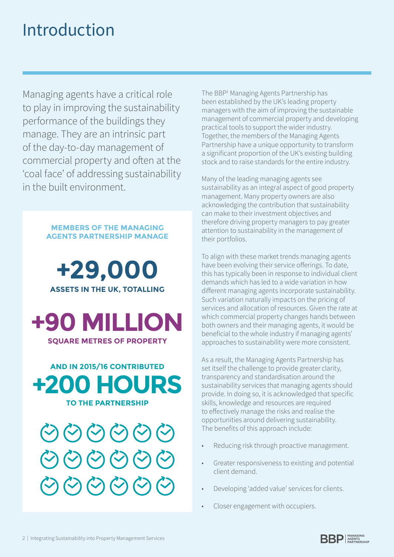# Introduction

Managing agents have a critical role to play in improving the sustainability performance of the buildings they manage. They are an intrinsic part of the day-to-day management of commercial property and often at the 'coal face' of addressing sustainability in the built environment.

### **MEMBERS OF THE MANAGING AGENTS PARTNERSHIP MANAGE**

# **+29,000 ASSETS IN THE UK, TOTALLING**



**AND IN 2015/16 CONTRIBUTED +200 HOURS TO THE PARTNERSHIP**



The BBP1 Managing Agents Partnership has been established by the UK's leading property managers with the aim of improving the sustainable management of commercial property and developing practical tools to support the wider industry. Together, the members of the Managing Agents Partnership have a unique opportunity to transform a significant proportion of the UK's existing building stock and to raise standards for the entire industry.

Many of the leading managing agents see sustainability as an integral aspect of good property management. Many property owners are also acknowledging the contribution that sustainability can make to their investment objectives and therefore driving property managers to pay greater attention to sustainability in the management of their portfolios.

To align with these market trends managing agents have been evolving their service offerings. To date, this has typically been in response to individual client demands which has led to a wide variation in how different managing agents incorporate sustainability. Such variation naturally impacts on the pricing of services and allocation of resources. Given the rate at which commercial property changes hands between both owners and their managing agents, it would be beneficial to the whole industry if managing agents' approaches to sustainability were more consistent.

As a result, the Managing Agents Partnership has set itself the challenge to provide greater clarity, transparency and standardisation around the sustainability services that managing agents should provide. In doing so, it is acknowledged that specific skills, knowledge and resources are required to effectively manage the risks and realise the opportunities around delivering sustainability. The benefits of this approach include:

- Reducing risk through proactive management.
- Greater responsiveness to existing and potential client demand.
- Developing 'added value' services for clients.
- Closer engagement with occupiers.

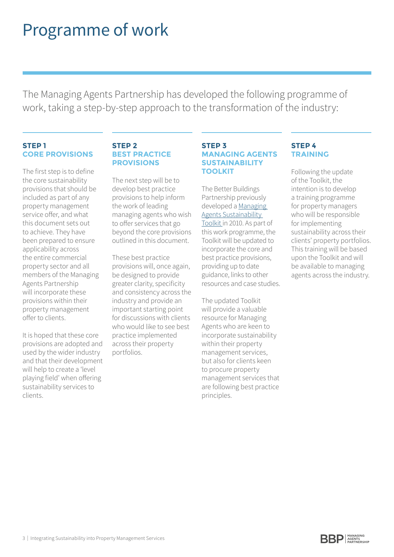# Programme of work

The Managing Agents Partnership has developed the following programme of work, taking a step-by-step approach to the transformation of the industry:

## **STEP 1 CORE PROVISIONS**

The first step is to define the core sustainability provisions that should be included as part of any property management service offer, and what this document sets out to achieve. They have been prepared to ensure applicability across the entire commercial property sector and all members of the Managing Agents Partnership will incorporate these provisions within their property management offer to clients.

It is hoped that these core provisions are adopted and used by the wider industry and that their development will help to create a 'level playing field' when offering sustainability services to clients.

## **STEP 2 BEST PRACTICE PROVISIONS**

The next step will be to develop best practice provisions to help inform the work of leading managing agents who wish to offer services that go beyond the core provisions outlined in this document.

These best practice provisions will, once again, be designed to provide greater clarity, specificity and consistency across the industry and provide an important starting point for discussions with clients who would like to see best practice implemented across their property portfolios.

### **STEP 3 MANAGING AGENTS SUSTAINABILITY TOOLKIT**

The Better Buildings Partnership previously developed a [Managing](http://www.betterbuildingspartnership.co.uk/managing-agents-sustainability-toolkit)  [Agents Sustainability](http://www.betterbuildingspartnership.co.uk/managing-agents-sustainability-toolkit)  [Toolkit](http://www.betterbuildingspartnership.co.uk/managing-agents-sustainability-toolkit) in 2010. As part of this work programme, the Toolkit will be updated to incorporate the core and best practice provisions, providing up to date guidance, links to other resources and case studies.

The updated Toolkit will provide a valuable resource for Managing Agents who are keen to incorporate sustainability within their property management services, but also for clients keen to procure property management services that are following best practice principles.

## **STEP 4 TRAINING**

Following the update of the Toolkit, the intention is to develop a training programme for property managers who will be responsible for implementing sustainability across their clients' property portfolios. This training will be based upon the Toolkit and will be available to managing agents across the industry.

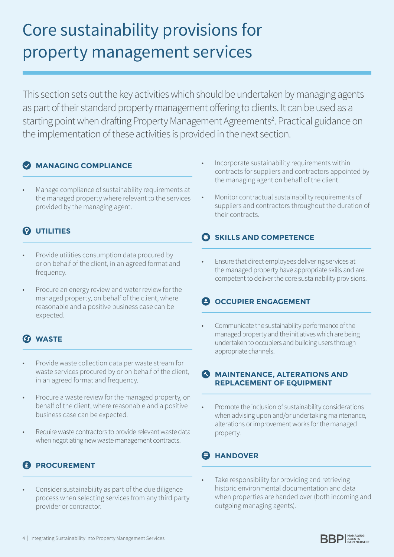# Core sustainability provisions for property management services

This section sets out the key activities which should be undertaken by managing agents as part of their standard property management offering to clients. It can be used as a starting point when drafting Property Management Agreements<sup>2</sup>. Practical guidance on the implementation of these activities is provided in the next section.

# **MANAGING COMPLIANCE**

Manage compliance of sustainability requirements at the managed property where relevant to the services provided by the managing agent.

# $Q$  UTILITIES

- Provide utilities consumption data procured by or on behalf of the client, in an agreed format and frequency.
- Procure an energy review and water review for the managed property, on behalf of the client, where reasonable and a positive business case can be expected.

# **WASTE**

- Provide waste collection data per waste stream for waste services procured by or on behalf of the client, in an agreed format and frequency.
- Procure a waste review for the managed property, on behalf of the client, where reasonable and a positive business case can be expected.
- Require waste contractors to provide relevant waste data when negotiating new waste management contracts.

# **PROCUREMENT**

Consider sustainability as part of the due diligence process when selecting services from any third party provider or contractor.

- Incorporate sustainability requirements within contracts for suppliers and contractors appointed by the managing agent on behalf of the client.
- Monitor contractual sustainability requirements of suppliers and contractors throughout the duration of their contracts.

# **C** SKILLS AND COMPETENCE

• Ensure that direct employees delivering services at the managed property have appropriate skills and are competent to deliver the core sustainability provisions.

# *<u>O</del>* OCCUPIER ENGAGEMENT</u>

• Communicate the sustainability performance of the managed property and the initiatives which are being undertaken to occupiers and building users through appropriate channels.

## **<sup>3</sup> MAINTENANCE, ALTERATIONS AND REPLACEMENT OF EQUIPMENT**

• Promote the inclusion of sustainability considerations when advising upon and/or undertaking maintenance, alterations or improvement works for the managed property.

# **A** HANDOVER

Take responsibility for providing and retrieving historic environmental documentation and data when properties are handed over (both incoming and outgoing managing agents).



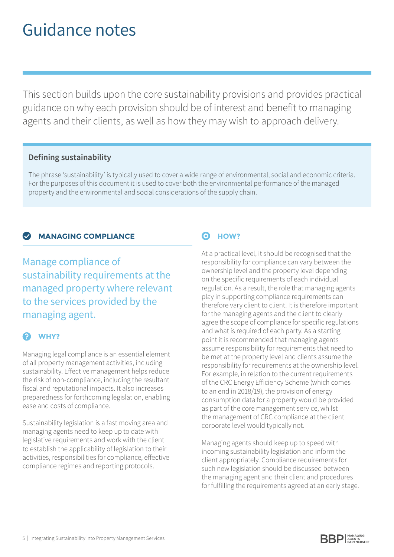# Guidance notes

This section builds upon the core sustainability provisions and provides practical guidance on why each provision should be of interest and benefit to managing agents and their clients, as well as how they may wish to approach delivery.

## **Defining sustainability**

The phrase 'sustainability' is typically used to cover a wide range of environmental, social and economic criteria. For the purposes of this document it is used to cover both the environmental performance of the managed property and the environmental and social considerations of the supply chain.

## **MANAGING COMPLIANCE**

Manage compliance of sustainability requirements at the managed property where relevant to the services provided by the managing agent.

# **WHY?**

Managing legal compliance is an essential element of all property management activities, including sustainability. Effective management helps reduce the risk of non-compliance, including the resultant fiscal and reputational impacts. It also increases preparedness for forthcoming legislation, enabling ease and costs of compliance.

Sustainability legislation is a fast moving area and managing agents need to keep up to date with legislative requirements and work with the client to establish the applicability of legislation to their activities, responsibilities for compliance, effective compliance regimes and reporting protocols.

# $\odot$  **HOW?**

At a practical level, it should be recognised that the responsibility for compliance can vary between the ownership level and the property level depending on the specific requirements of each individual regulation. As a result, the role that managing agents play in supporting compliance requirements can therefore vary client to client. It is therefore important for the managing agents and the client to clearly agree the scope of compliance for specific regulations and what is required of each party. As a starting point it is recommended that managing agents assume responsibility for requirements that need to be met at the property level and clients assume the responsibility for requirements at the ownership level. For example, in relation to the current requirements of the CRC Energy Efficiency Scheme (which comes to an end in 2018/19), the provision of energy consumption data for a property would be provided as part of the core management service, whilst the management of CRC compliance at the client corporate level would typically not.

Managing agents should keep up to speed with incoming sustainability legislation and inform the client appropriately. Compliance requirements for such new legislation should be discussed between the managing agent and their client and procedures for fulfilling the requirements agreed at an early stage.

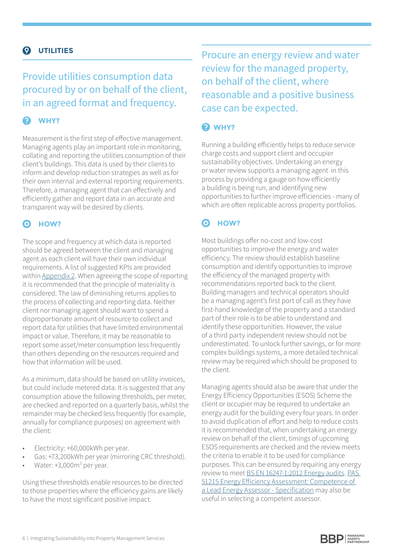### **UTILITIES**  $\boldsymbol{\Omega}$

# Provide utilities consumption data procured by or on behalf of the client, in an agreed format and frequency.

# **2** WHY?

Measurement is the first step of effective management. Managing agents play an important role in monitoring, collating and reporting the utilities consumption of their client's buildings. This data is used by their clients to inform and develop reduction strategies as well as for their own internal and external reporting requirements. Therefore, a managing agent that can effectively and efficiently gather and report data in an accurate and transparent way will be desired by clients.

#### 6 **HOW?**

The scope and frequency at which data is reported should be agreed between the client and managing agent as each client will have their own individual requirements. A list of suggested KPIs are provided within [Appendix 2](#page-14-0). When agreeing the scope of reporting it is recommended that the principle of materiality is considered. The law of diminishing returns applies to the process of collecting and reporting data. Neither client nor managing agent should want to spend a disproportionate amount of resource to collect and report data for utilities that have limited environmental impact or value. Therefore, it may be reasonable to report some asset/meter consumption less frequently than others depending on the resources required and how that information will be used.

As a minimum, data should be based on utility invoices, but could include metered data. It is suggested that any consumption above the following thresholds, per meter, are checked and reported on a quarterly basis, whilst the remainder may be checked less frequently (for example, annually for compliance purposes) on agreement with the client:

- Electricity: +60,000kWh per year.
- Gas: +73,200kWh per year (mirroring CRC threshold).
- Water: +3,000m<sup>3</sup> per year.

Using these thresholds enable resources to be directed to those properties where the efficiency gains are likely to have the most significant positive impact.

Procure an energy review and water review for the managed property, on behalf of the client, where reasonable and a positive business case can be expected.

# **WHY?**

Running a building efficiently helps to reduce service charge costs and support client and occupier sustainability objectives. Undertaking an energy or water review supports a managing agent in this process by providing a gauge on how efficiently a building is being run, and identifying new opportunities to further improve efficiencies - many of which are often replicable across property portfolios.

### **HOW?** ෬

Most buildings offer no-cost and low-cost opportunities to improve the energy and water efficiency. The review should establish baseline consumption and identify opportunities to improve the efficiency of the managed property with recommendations reported back to the client. Building managers and technical operators should be a managing agent's first port of call as they have first-hand knowledge of the property and a standard part of their role is to be able to understand and identify these opportunities. However, the value of a third party independent review should not be underestimated. To unlock further savings, or for more complex buildings systems, a more detailed technical review may be required which should be proposed to the client.

Managing agents should also be aware that under the Energy Efficiency Opportunities (ESOS) Scheme the client or occupier may be required to undertake an energy audit for the building every four years. In order to avoid duplication of effort and help to reduce costs it is recommended that, when undertaking an energy review on behalf of the client, timings of upcoming ESOS requirements are checked and the review meets the criteria to enable it to be used for compliance purposes. This can be ensured by requiring any energy review to meet [BS EN 16247-1:2012 Energy audits](http://shop.bsigroup.com/ProductDetail/?pid=000000000030290260). [PAS](http://shop.bsigroup.com/ProductDetail/?pid=000000000030290260)  [51215 Energy Efficiency Assessment: Competence of](http://shop.bsigroup.com/ProductDetail/?pid=000000000030290260)  [a Lead Energy Assessor - Specification](http://shop.bsigroup.com/ProductDetail/?pid=000000000030290260) may also be useful in selecting a competent assessor.

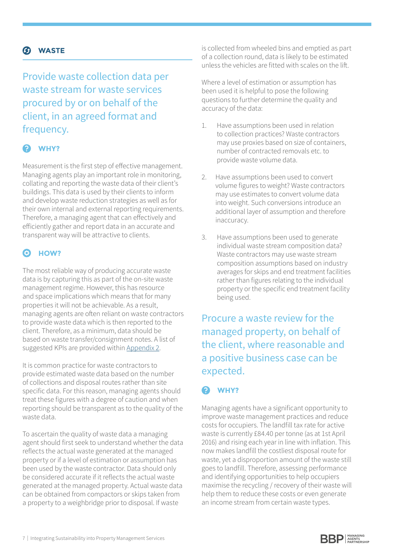# **WASTE**

Provide waste collection data per waste stream for waste services procured by or on behalf of the client, in an agreed format and frequency.

# **WHY?**

Measurement is the first step of effective management. Managing agents play an important role in monitoring, collating and reporting the waste data of their client's buildings. This data is used by their clients to inform and develop waste reduction strategies as well as for their own internal and external reporting requirements. Therefore, a managing agent that can effectively and efficiently gather and report data in an accurate and transparent way will be attractive to clients.

### ര **HOW?**

The most reliable way of producing accurate waste data is by capturing this as part of the on-site waste management regime. However, this has resource and space implications which means that for many properties it will not be achievable. As a result, managing agents are often reliant on waste contractors to provide waste data which is then reported to the client. Therefore, as a minimum, data should be based on waste transfer/consignment notes. A list of suggested KPIs are provided within [Appendix 2](#page-14-0).

It is common practice for waste contractors to provide estimated waste data based on the number of collections and disposal routes rather than site specific data. For this reason, managing agents should treat these figures with a degree of caution and when reporting should be transparent as to the quality of the waste data.

To ascertain the quality of waste data a managing agent should first seek to understand whether the data reflects the actual waste generated at the managed property or if a level of estimation or assumption has been used by the waste contractor. Data should only be considered accurate if it reflects the actual waste generated at the managed property. Actual waste data can be obtained from compactors or skips taken from a property to a weighbridge prior to disposal. If waste

is collected from wheeled bins and emptied as part of a collection round, data is likely to be estimated unless the vehicles are fitted with scales on the lift.

Where a level of estimation or assumption has been used it is helpful to pose the following questions to further determine the quality and accuracy of the data:

- 1. Have assumptions been used in relation to collection practices? Waste contractors may use proxies based on size of containers, number of contracted removals etc. to provide waste volume data.
- 2. Have assumptions been used to convert volume figures to weight? Waste contractors may use estimates to convert volume data into weight. Such conversions introduce an additional layer of assumption and therefore inaccuracy.
- 3. Have assumptions been used to generate individual waste stream composition data? Waste contractors may use waste stream composition assumptions based on industry averages for skips and end treatment facilities rather than figures relating to the individual property or the specific end treatment facility being used.

Procure a waste review for the managed property, on behalf of the client, where reasonable and a positive business case can be expected.

# **WHY?**

Managing agents have a significant opportunity to improve waste management practices and reduce costs for occupiers. The landfill tax rate for active waste is currently £84.40 per tonne (as at 1st April 2016) and rising each year in line with inflation. This now makes landfill the costliest disposal route for waste, yet a disproportion amount of the waste still goes to landfill. Therefore, assessing performance and identifying opportunities to help occupiers maximise the recycling / recovery of their waste will help them to reduce these costs or even generate an income stream from certain waste types.

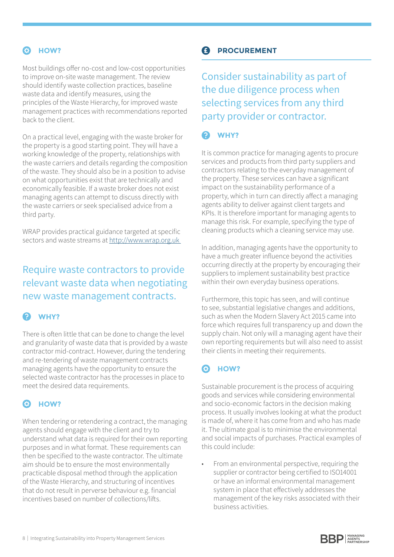# **HOW?**

Most buildings offer no-cost and low-cost opportunities to improve on-site waste management. The review should identify waste collection practices, baseline waste data and identify measures, using the principles of the Waste Hierarchy, for improved waste management practices with recommendations reported back to the client.

On a practical level, engaging with the waste broker for the property is a good starting point. They will have a working knowledge of the property, relationships with the waste carriers and details regarding the composition of the waste. They should also be in a position to advise on what opportunities exist that are technically and economically feasible. If a waste broker does not exist managing agents can attempt to discuss directly with the waste carriers or seek specialised advice from a third party.

WRAP provides practical guidance targeted at specific sectors and waste streams at http://www.wrap.org.uk

# Require waste contractors to provide relevant waste data when negotiating new waste management contracts.

### $\bullet$ **WHY?**

There is often little that can be done to change the level and granularity of waste data that is provided by a waste contractor mid-contract. However, during the tendering and re-tendering of waste management contracts managing agents have the opportunity to ensure the selected waste contractor has the processes in place to meet the desired data requirements.

# $\odot$  **HOW?**

When tendering or retendering a contract, the managing agents should engage with the client and try to understand what data is required for their own reporting purposes and in what format. These requirements can then be specified to the waste contractor. The ultimate aim should be to ensure the most environmentally practicable disposal method through the application of the Waste Hierarchy, and structuring of incentives that do not result in perverse behaviour e.g. financial incentives based on number of collections/lifts.

# **PROCUREMENT**

Consider sustainability as part of the due diligence process when selecting services from any third party provider or contractor.

### $\bullet$ **WHY?**

It is common practice for managing agents to procure services and products from third party suppliers and contractors relating to the everyday management of the property. These services can have a significant impact on the sustainability performance of a property, which in turn can directly affect a managing agents ability to deliver against client targets and KPIs. It is therefore important for managing agents to manage this risk. For example, specifying the type of cleaning products which a cleaning service may use.

In addition, managing agents have the opportunity to have a much greater influence beyond the activities occurring directly at the property by encouraging their suppliers to implement sustainability best practice within their own everyday business operations.

Furthermore, this topic has seen, and will continue to see, substantial legislative changes and additions, such as when the Modern Slavery Act 2015 came into force which requires full transparency up and down the supply chain. Not only will a managing agent have their own reporting requirements but will also need to assist their clients in meeting their requirements.

### **HOW?** ෬

Sustainable procurement is the process of acquiring goods and services while considering environmental and socio-economic factors in the decision making process. It usually involves looking at what the product is made of, where it has come from and who has made it. The ultimate goal is to minimise the environmental and social impacts of purchases. Practical examples of this could include:

• From an environmental perspective, requiring the supplier or contractor being certified to ISO14001 or have an informal environmental management system in place that effectively addresses the management of the key risks associated with their business activities.

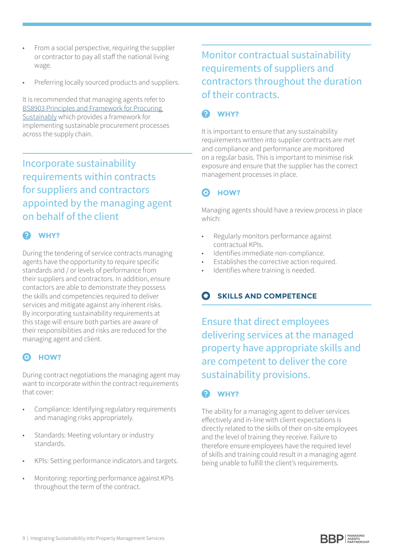- From a social perspective, requiring the supplier or contractor to pay all staff the national living wage.
- Preferring locally sourced products and suppliers.

It is recommended that managing agents refer to [BS8903 Principles and Framework for Procuring](http://shop.bsigroup.com/en/ProductDetail/?pid=000000000030203003&rdt=wmt)  [Sustainably](http://shop.bsigroup.com/en/ProductDetail/?pid=000000000030203003&rdt=wmt) which provides a framework for implementing sustainable procurement processes across the supply chain.

Incorporate sustainability requirements within contracts for suppliers and contractors appointed by the managing agent on behalf of the client

# **WHY?**

During the tendering of service contracts managing agents have the opportunity to require specific standards and / or levels of performance from their suppliers and contractors. In addition, ensure contactors are able to demonstrate they possess the skills and competencies required to deliver services and mitigate against any inherent risks. By incorporating sustainability requirements at this stage will ensure both parties are aware of their responsibilities and risks are reduced for the managing agent and client.

### a **HOW?**

During contract negotiations the managing agent may want to incorporate within the contract requirements that cover:

- Compliance: Identifying regulatory requirements and managing risks appropriately.
- Standards: Meeting voluntary or industry standards.
- KPIs: Setting performance indicators and targets.
- Monitoring: reporting performance against KPIs throughout the term of the contract.

# Monitor contractual sustainability requirements of suppliers and contractors throughout the duration of their contracts.

# **WHY?**

It is important to ensure that any sustainability requirements written into supplier contracts are met and compliance and performance are monitored on a regular basis. This is important to minimise risk exposure and ensure that the supplier has the correct management processes in place.

### **HOW?** ෬

Managing agents should have a review process in place which:

- Regularly monitors performance against contractual KPIs.
- Identifies immediate non-compliance.
- Establishes the corrective action required.
- Identifies where training is needed.

# **SKILLS AND COMPETENCE**

Ensure that direct employees delivering services at the managed property have appropriate skills and are competent to deliver the core sustainability provisions.

### $\mathbf{\Omega}$ **WHY?**

The ability for a managing agent to deliver services effectively and in-line with client expectations is directly related to the skills of their on-site employees and the level of training they receive. Failure to therefore ensure employees have the required level of skills and training could result in a managing agent being unable to fulfill the client's requirements.

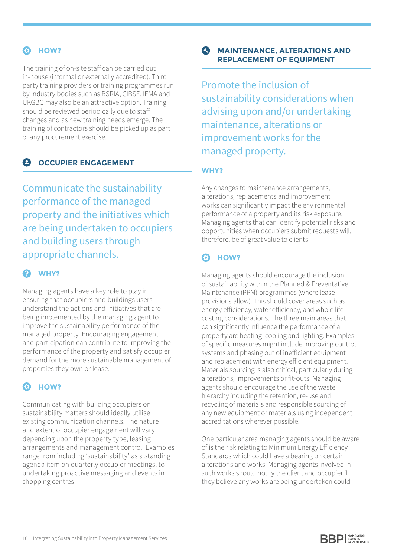# **HOW?**

The training of on-site staff can be carried out in-house (informal or externally accredited). Third party training providers or training programmes run by industry bodies such as BSRIA, CIBSE, IEMA and UKGBC may also be an attractive option. Training should be reviewed periodically due to staff changes and as new training needs emerge. The training of contractors should be picked up as part of any procurement exercise.

### **OCCUPIER ENGAGEMENT**  $\bullet$

Communicate the sustainability performance of the managed property and the initiatives which are being undertaken to occupiers and building users through appropriate channels.

#### ℯ **WHY?**

Managing agents have a key role to play in ensuring that occupiers and buildings users understand the actions and initiatives that are being implemented by the managing agent to improve the sustainability performance of the managed property. Encouraging engagement and participation can contribute to improving the performance of the property and satisfy occupier demand for the more sustainable management of properties they own or lease.

## $Q$  **HOW?**

Communicating with building occupiers on sustainability matters should ideally utilise existing communication channels. The nature and extent of occupier engagement will vary depending upon the property type, leasing arrangements and management control. Examples range from including 'sustainability' as a standing agenda item on quarterly occupier meetings; to undertaking proactive messaging and events in shopping centres.

## **MAINTENANCE, ALTERATIONS AND REPLACEMENT OF EQUIPMENT**

Promote the inclusion of sustainability considerations when advising upon and/or undertaking maintenance, alterations or improvement works for the managed property.

### **WHY?**

Any changes to maintenance arrangements, alterations, replacements and improvement works can significantly impact the environmental performance of a property and its risk exposure. Managing agents that can identify potential risks and opportunities when occupiers submit requests will, therefore, be of great value to clients.

### 0 **HOW?**

Managing agents should encourage the inclusion of sustainability within the Planned & Preventative Maintenance (PPM) programmes (where lease provisions allow). This should cover areas such as energy efficiency, water efficiency, and whole life costing considerations. The three main areas that can significantly influence the performance of a property are heating, cooling and lighting. Examples of specific measures might include improving control systems and phasing out of inefficient equipment and replacement with energy efficient equipment. Materials sourcing is also critical, particularly during alterations, improvements or fit-outs. Managing agents should encourage the use of the waste hierarchy including the retention, re-use and recycling of materials and responsible sourcing of any new equipment or materials using independent accreditations wherever possible.

One particular area managing agents should be aware of is the risk relating to Minimum Energy Efficiency Standards which could have a bearing on certain alterations and works. Managing agents involved in such works should notify the client and occupier if they believe any works are being undertaken could

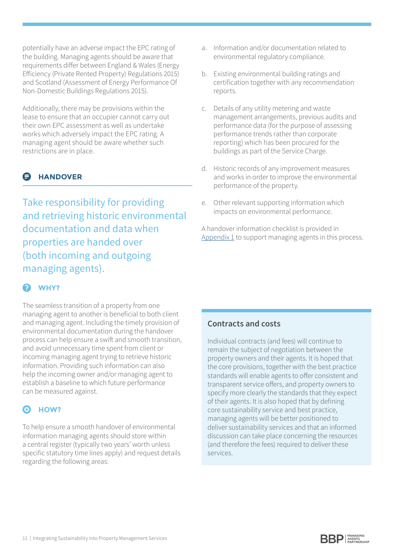potentially have an adverse impact the EPC rating of the building. Managing agents should be aware that requirements differ between England & Wales (Energy Efficiency (Private Rented Property) Regulations 2015) and Scotland (Assessment of Energy Performance Of Non-Domestic Buildings Regulations 2015).

Additionally, there may be provisions within the lease to ensure that an occupier cannot carry out their own EPC assessment as well as undertake works which adversely impact the EPC rating. A managing agent should be aware whether such restrictions are in place.

# **HANDOVER**

Take responsibility for providing and retrieving historic environmental documentation and data when properties are handed over (both incoming and outgoing managing agents).

# **WHY?**

The seamless transition of a property from one managing agent to another is beneficial to both client and managing agent. Including the timely provision of environmental documentation during the handover process can help ensure a swift and smooth transition, and avoid unnecessary time spent from client or incoming managing agent trying to retrieve historic information. Providing such information can also help the incoming owner and/or managing agent to establish a baseline to which future performance can be measured against.

### **HOW?** 6

To help ensure a smooth handover of environmental information managing agents should store within a central register (typically two years' worth unless specific statutory time lines apply) and request details regarding the following areas:

- a. Information and/or documentation related to environmental regulatory compliance.
- b. Existing environmental building ratings and certification together with any recommendation reports.
- c. Details of any utility metering and waste management arrangements, previous audits and performance data (for the purpose of assessing performance trends rather than corporate reporting) which has been procured for the buildings as part of the Service Charge.
- d. Historic records of any improvement measures and works in order to improve the environmental performance of the property.
- e. Other relevant supporting information which impacts on environmental performance.

A handover information checklist is provided in [Appendix 1](#page-11-0) to support managing agents in this process.

# **Contracts and costs**

Individual contracts (and fees) will continue to remain the subject of negotiation between the property owners and their agents. It is hoped that the core provisions, together with the best practice standards will enable agents to offer consistent and transparent service offers, and property owners to specify more clearly the standards that they expect of their agents. It is also hoped that by defining core sustainability service and best practice, managing agents will be better positioned to deliver sustainability services and that an informed discussion can take place concerning the resources (and therefore the fees) required to deliver these services.

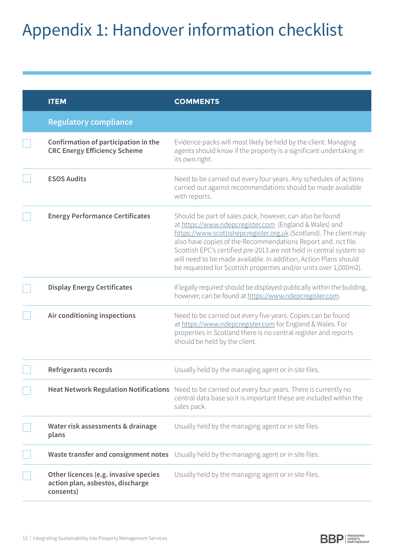# <span id="page-11-0"></span>Appendix 1: Handover information checklist

| <b>ITEM</b>                                                                            | <b>COMMENTS</b>                                                                                                                                                                                                                                                                                                                                                                                                                                                         |
|----------------------------------------------------------------------------------------|-------------------------------------------------------------------------------------------------------------------------------------------------------------------------------------------------------------------------------------------------------------------------------------------------------------------------------------------------------------------------------------------------------------------------------------------------------------------------|
| <b>Regulatory compliance</b>                                                           |                                                                                                                                                                                                                                                                                                                                                                                                                                                                         |
| Confirmation of participation in the<br><b>CRC Energy Efficiency Scheme</b>            | Evidence packs will most likely be held by the client. Managing<br>agents should know if the property is a significant undertaking in<br>its own right.                                                                                                                                                                                                                                                                                                                 |
| <b>ESOS Audits</b>                                                                     | Need to be carried out every four years. Any schedules of actions<br>carried out against recommendations should be made available<br>with reports.                                                                                                                                                                                                                                                                                                                      |
| <b>Energy Performance Certificates</b>                                                 | Should be part of sales pack, however, can also be found<br>at https://www.ndepcregister.com (England & Wales) and<br>https://www.scottishepcregister.org.uk (Scotland). The client may<br>also have copies of the Recommendations Report and .nct file.<br>Scottish EPC's certified pre-2013 are not held in central system so<br>will need to be made available. In addition, Action Plans should<br>be requested for Scottish properties and/or units over 1,000m2). |
| <b>Display Energy Certificates</b>                                                     | If legally required should be displayed publically within the building,<br>however, can be found at https://www.ndepcregister.com.                                                                                                                                                                                                                                                                                                                                      |
| Air conditioning inspections                                                           | Need to be carried out every five years. Copies can be found<br>at https://www.ndepcregister.com for England & Wales. For<br>properties in Scotland there is no central register and reports<br>should be held by the client.                                                                                                                                                                                                                                           |
| <b>Refrigerants records</b>                                                            | Usually held by the managing agent or in site files.                                                                                                                                                                                                                                                                                                                                                                                                                    |
|                                                                                        | Heat Network Regulation Notifications Need to be carried out every four years. There is currently no<br>central data base so it is important these are included within the<br>sales pack.                                                                                                                                                                                                                                                                               |
| Water risk assessments & drainage<br>plans                                             | Usually held by the managing agent or in site files.                                                                                                                                                                                                                                                                                                                                                                                                                    |
| Waste transfer and consignment notes                                                   | Usually held by the managing agent or in site files.                                                                                                                                                                                                                                                                                                                                                                                                                    |
| Other licences (e.g. invasive species<br>action plan, asbestos, discharge<br>consents) | Usually held by the managing agent or in site files.                                                                                                                                                                                                                                                                                                                                                                                                                    |

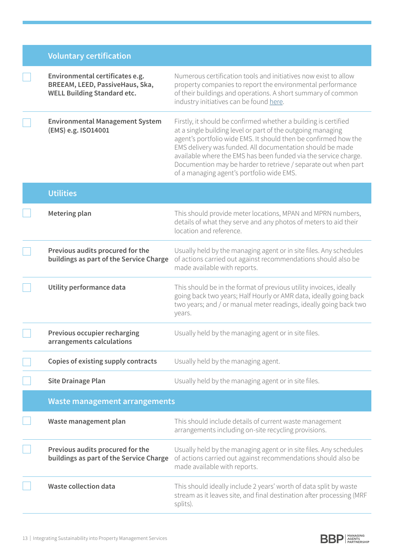|  |  | <b>Voluntary certification</b> |
|--|--|--------------------------------|
|  |  |                                |

| Environmental certificates e.g.<br>BREEAM, LEED, PassiveHaus, Ska,<br><b>WELL Building Standard etc.</b> | Numerous certification tools and initiatives now exist to allow<br>property companies to report the environmental performance<br>of their buildings and operations. A short summary of common<br>industry initiatives can be found here.                                                                                                                                                                                                         |
|----------------------------------------------------------------------------------------------------------|--------------------------------------------------------------------------------------------------------------------------------------------------------------------------------------------------------------------------------------------------------------------------------------------------------------------------------------------------------------------------------------------------------------------------------------------------|
| <b>Environmental Management System</b><br>(EMS) e.g. ISO14001                                            | Firstly, it should be confirmed whether a building is certified<br>at a single building level or part of the outgoing managing<br>agent's portfolio wide EMS. It should then be confirmed how the<br>EMS delivery was funded. All documentation should be made<br>available where the EMS has been funded via the service charge.<br>Documention may be harder to retrieve / separate out when part<br>of a managing agent's portfolio wide EMS. |
| <b>Utilities</b>                                                                                         |                                                                                                                                                                                                                                                                                                                                                                                                                                                  |
| Metering plan                                                                                            | This should provide meter locations, MPAN and MPRN numbers,<br>details of what they serve and any photos of meters to aid their<br>location and reference.                                                                                                                                                                                                                                                                                       |
| Previous audits procured for the<br>buildings as part of the Service Charge                              | Usually held by the managing agent or in site files. Any schedules<br>of actions carried out against recommendations should also be<br>made available with reports.                                                                                                                                                                                                                                                                              |
| Utility performance data                                                                                 | This should be in the format of previous utility invoices, ideally<br>going back two years; Half Hourly or AMR data, ideally going back<br>two years; and / or manual meter readings, ideally going back two<br>years.                                                                                                                                                                                                                           |
| Previous occupier recharging<br>arrangements calculations                                                | Usually held by the managing agent or in site files.                                                                                                                                                                                                                                                                                                                                                                                             |
| Copies of existing supply contracts                                                                      | Usually held by the managing agent.                                                                                                                                                                                                                                                                                                                                                                                                              |
| <b>Site Drainage Plan</b>                                                                                | Usually held by the managing agent or in site files.                                                                                                                                                                                                                                                                                                                                                                                             |
| <b>Waste management arrangements</b>                                                                     |                                                                                                                                                                                                                                                                                                                                                                                                                                                  |
| Waste management plan                                                                                    | This should include details of current waste management<br>arrangements including on-site recycling provisions.                                                                                                                                                                                                                                                                                                                                  |
| Previous audits procured for the<br>buildings as part of the Service Charge                              | Usually held by the managing agent or in site files. Any schedules<br>of actions carried out against recommendations should also be<br>made available with reports.                                                                                                                                                                                                                                                                              |
| <b>Waste collection data</b>                                                                             | This should ideally include 2 years' worth of data split by waste<br>stream as it leaves site, and final destination after processing (MRF<br>splits).                                                                                                                                                                                                                                                                                           |

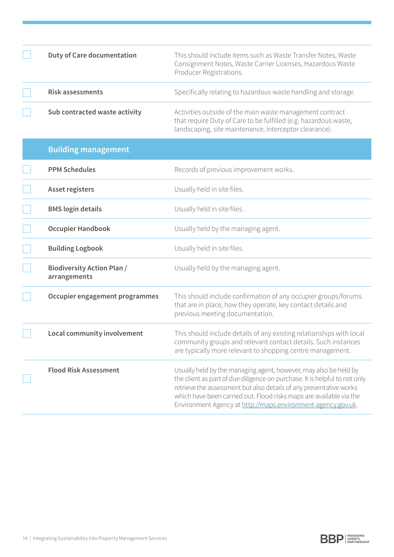| <b>Duty of Care documentation</b>                 | This should include items such as Waste Transfer Notes, Waste<br>Consignment Notes, Waste Carrier Licenses, Hazardous Waste<br>Producer Registrations.                                                                                                                                                                                                      |
|---------------------------------------------------|-------------------------------------------------------------------------------------------------------------------------------------------------------------------------------------------------------------------------------------------------------------------------------------------------------------------------------------------------------------|
| <b>Risk assessments</b>                           | Specifically relating to hazardous waste handling and storage.                                                                                                                                                                                                                                                                                              |
| Sub contracted waste activity                     | Activities outside of the main waste management contract<br>that require Duty of Care to be fulfilled (e.g. hazardous waste,<br>landscaping, site maintenance, interceptor clearance).                                                                                                                                                                      |
| <b>Building management</b>                        |                                                                                                                                                                                                                                                                                                                                                             |
| <b>PPM Schedules</b>                              | Records of previous improvement works.                                                                                                                                                                                                                                                                                                                      |
| <b>Asset registers</b>                            | Usually held in site files.                                                                                                                                                                                                                                                                                                                                 |
| <b>BMS</b> login details                          | Usually held in site files.                                                                                                                                                                                                                                                                                                                                 |
| <b>Occupier Handbook</b>                          | Usually held by the managing agent.                                                                                                                                                                                                                                                                                                                         |
| <b>Building Logbook</b>                           | Usually held in site files.                                                                                                                                                                                                                                                                                                                                 |
| <b>Biodiversity Action Plan /</b><br>arrangements | Usually held by the managing agent.                                                                                                                                                                                                                                                                                                                         |
| Occupier engagement programmes                    | This should include confirmation of any occupier groups/forums<br>that are in place, how they operate, key contact details and<br>previous meeting documentation.                                                                                                                                                                                           |
| Local community involvement                       | This should include details of any existing relationships with local<br>community groups and relevant contact details. Such instances<br>are typically more relevant to shopping centre management.                                                                                                                                                         |
| <b>Flood Risk Assessment</b>                      | Usually held by the managing agent, however, may also be held by<br>the client as part of due diligence on purchase. It is helpful to not only<br>retrieve the assessment but also details of any preventative works<br>which have been carried out. Flood risks maps are available via the<br>Environment Agency at http://maps.environment-agency.gov.uk. |

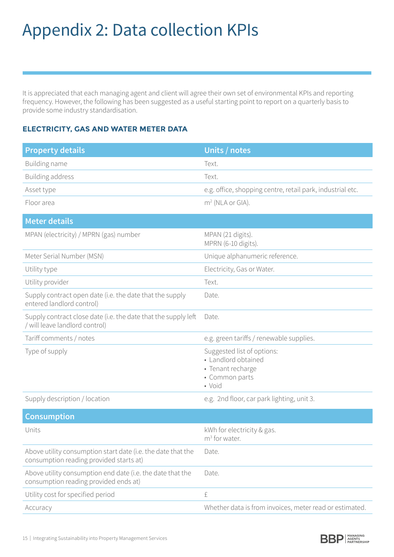# <span id="page-14-0"></span>Appendix 2: Data collection KPIs

It is appreciated that each managing agent and client will agree their own set of environmental KPIs and reporting frequency. However, the following has been suggested as a useful starting point to report on a quarterly basis to provide some industry standardisation.

## **ELECTRICITY, GAS AND WATER METER DATA**

| <b>Property details</b>                                                                                 | Units / notes                                                                                      |
|---------------------------------------------------------------------------------------------------------|----------------------------------------------------------------------------------------------------|
| Building name                                                                                           | Text.                                                                                              |
| <b>Building address</b>                                                                                 | Text.                                                                                              |
| Asset type                                                                                              | e.g. office, shopping centre, retail park, industrial etc.                                         |
| Floor area                                                                                              | $m2$ (NLA or GIA).                                                                                 |
| <b>Meter details</b>                                                                                    |                                                                                                    |
| MPAN (electricity) / MPRN (gas) number                                                                  | MPAN (21 digits).<br>MPRN (6-10 digits).                                                           |
| Meter Serial Number (MSN)                                                                               | Unique alphanumeric reference.                                                                     |
| Utility type                                                                                            | Electricity, Gas or Water.                                                                         |
| Utility provider                                                                                        | Text.                                                                                              |
| Supply contract open date (i.e. the date that the supply<br>entered landlord control)                   | Date.                                                                                              |
| Supply contract close date (i.e. the date that the supply left<br>/ will leave landlord control)        | Date.                                                                                              |
| Tariff comments / notes                                                                                 | e.g. green tariffs / renewable supplies.                                                           |
| Type of supply                                                                                          | Suggested list of options:<br>• Landlord obtained<br>• Tenant recharge<br>• Common parts<br>• Void |
| Supply description / location                                                                           | e.g. 2nd floor, car park lighting, unit 3.                                                         |
| <b>Consumption</b>                                                                                      |                                                                                                    |
| Units                                                                                                   | kWh for electricity & gas.<br>$m3$ for water.                                                      |
| Above utility consumption start date (i.e. the date that the<br>consumption reading provided starts at) | Date.                                                                                              |
| Above utility consumption end date (i.e. the date that the<br>consumption reading provided ends at)     | Date.                                                                                              |
| Utility cost for specified period                                                                       | £                                                                                                  |
| Accuracy                                                                                                | Whether data is from invoices, meter read or estimated.                                            |

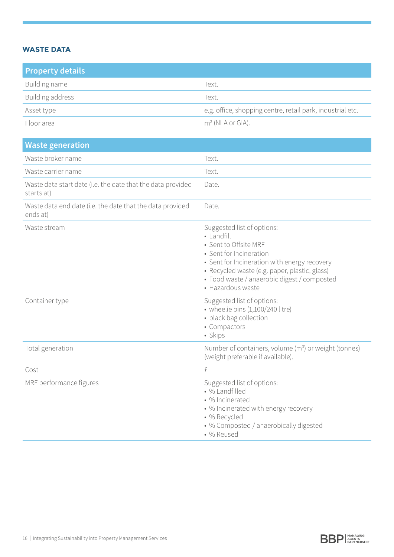# **WASTE DATA**

| <b>Property details</b> |                                                            |
|-------------------------|------------------------------------------------------------|
| Building name           | Text.                                                      |
| Building address        | Text.                                                      |
| Asset type              | e.g. office, shopping centre, retail park, industrial etc. |
| Floor area              | $m2$ (NLA or GIA).                                         |

| <b>Waste generation</b>                                                   |                                                                                                                                                                                                                                                                   |
|---------------------------------------------------------------------------|-------------------------------------------------------------------------------------------------------------------------------------------------------------------------------------------------------------------------------------------------------------------|
| Waste broker name                                                         | Text.                                                                                                                                                                                                                                                             |
| Waste carrier name                                                        | Text.                                                                                                                                                                                                                                                             |
| Waste data start date (i.e. the date that the data provided<br>starts at) | Date.                                                                                                                                                                                                                                                             |
| Waste data end date (i.e. the date that the data provided<br>ends at)     | Date.                                                                                                                                                                                                                                                             |
| Waste stream                                                              | Suggested list of options:<br>• Landfill<br>• Sent to Offsite MRF<br>• Sent for Incineration<br>• Sent for Incineration with energy recovery<br>· Recycled waste (e.g. paper, plastic, glass)<br>· Food waste / anaerobic digest / composted<br>· Hazardous waste |
| Container type                                                            | Suggested list of options:<br>• wheelie bins (1,100/240 litre)<br>• black bag collection<br>• Compactors<br>• Skips                                                                                                                                               |
| Total generation                                                          | Number of containers, volume (m <sup>3</sup> ) or weight (tonnes)<br>(weight preferable if available).                                                                                                                                                            |
| Cost                                                                      | £                                                                                                                                                                                                                                                                 |
| MRF performance figures                                                   | Suggested list of options:<br>• % Landfilled<br>• % Incinerated<br>• % Incinerated with energy recovery<br>• % Recycled<br>• % Composted / anaerobically digested<br>• % Reused                                                                                   |